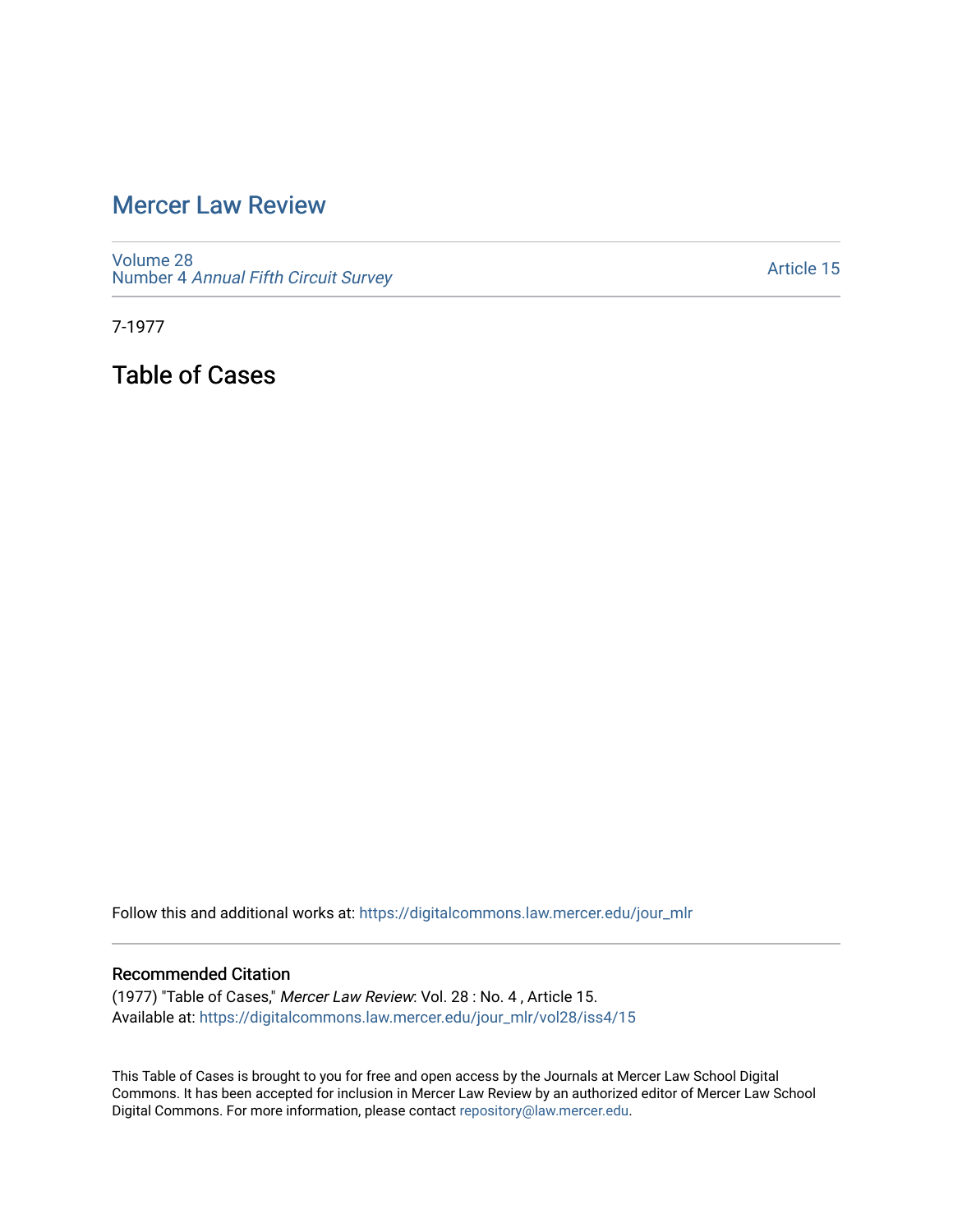## [Mercer Law Review](https://digitalcommons.law.mercer.edu/jour_mlr)

[Volume 28](https://digitalcommons.law.mercer.edu/jour_mlr/vol28) Number 4 [Annual Fifth Circuit Survey](https://digitalcommons.law.mercer.edu/jour_mlr/vol28/iss4)

[Article 15](https://digitalcommons.law.mercer.edu/jour_mlr/vol28/iss4/15) 

7-1977

Table of Cases

Follow this and additional works at: [https://digitalcommons.law.mercer.edu/jour\\_mlr](https://digitalcommons.law.mercer.edu/jour_mlr?utm_source=digitalcommons.law.mercer.edu%2Fjour_mlr%2Fvol28%2Fiss4%2F15&utm_medium=PDF&utm_campaign=PDFCoverPages)

## Recommended Citation

(1977) "Table of Cases," Mercer Law Review: Vol. 28 : No. 4 , Article 15. Available at: [https://digitalcommons.law.mercer.edu/jour\\_mlr/vol28/iss4/15](https://digitalcommons.law.mercer.edu/jour_mlr/vol28/iss4/15?utm_source=digitalcommons.law.mercer.edu%2Fjour_mlr%2Fvol28%2Fiss4%2F15&utm_medium=PDF&utm_campaign=PDFCoverPages) 

This Table of Cases is brought to you for free and open access by the Journals at Mercer Law School Digital Commons. It has been accepted for inclusion in Mercer Law Review by an authorized editor of Mercer Law School Digital Commons. For more information, please contact [repository@law.mercer.edu](mailto:repository@law.mercer.edu).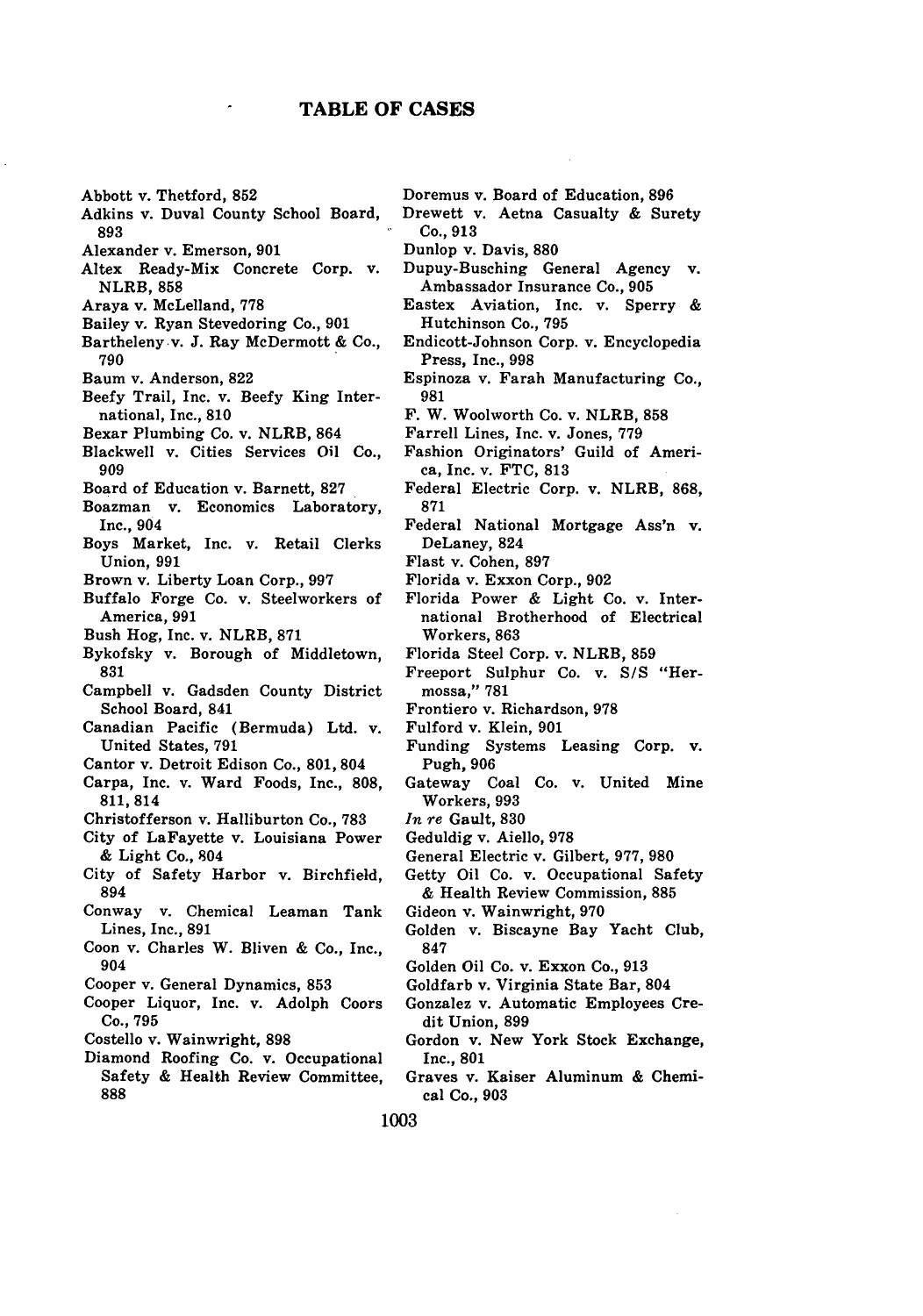## **TABLE OF CASES**

- Abbott v. Thetford, **852**
- Adkins v. Duval County School Board, **893**
- Alexander v. Emerson, **901**
- Altex Ready-Mix Concrete Corp. v. NLRB, **858**
- Araya v. McLelland, **778**
- Bailey v. Ryan Stevedoring Co., **901**
- Bartheleny v. **J.** Ray McDermott **&** Co., **790**
- Baum v. Anderson, **822**
- Beefy Trail, Inc. v. Beefy King International, Inc., **810**
- Bexar Plumbing Co. v. NLRB, 864
- Blackwell v. Cities Services Oil Co., **909**
- Board of Education v. Barnett, **827**
- Boazman v. Economics Laboratory, Inc., 904
- Boys Market, Inc. v. Retail Clerks Union, **991**
- Brown v. Liberty Loan Corp., **997**
- Buffalo Forge Co. v. Steelworkers of America, **991**
- Bush Hog, Inc. v. NLRB, **871**
- Bykofsky v. Borough of Middletown, **831**
- Campbell v. Gadsden County District School Board, 841
- Canadian Pacific (Bermuda) Ltd. v. United States, **791**
- Cantor v. Detroit Edison Co., **801,** 804
- Carpa, Inc. v. Ward Foods, Inc., **808, 811,814**
- Christofferson v. Halliburton Co., **783**
- City of LaFayette v. Louisiana Power **&** Light Co., 804
- City of Safety Harbor v. Birchfield, 894
- Conway v. Chemical Leaman Tank Lines, Inc., **891**
- Coon v. Charles W. Bliven **&** Co., Inc., 904
- Cooper v. General Dynamics, **853**
- Cooper Liquor, Inc. v. Adolph Coors Co., **795**
- Costello v. Wainwright, **898**
- Diamond Roofing Co. v. Occupational Safety **&** Health Review Committee, **888**
- Doremus v. Board of Education, **896**
- Drewett v. Aetna Casualty **&** Surety Co., **913**

Dunlop v. Davis, **880**

- Dupuy-Busching General Agency v. Ambassador Insurance Co., **905**
- Eastex Aviation, Inc. v. Sperry **&** Hutchinson Co., **795**
- Endicott-Johnson Corp. v. Encyclopedia Press, Inc., **998**
- Espinoza v. Farah Manufacturing Co., **981**
- **F.** W. Woolworth Co. v. NLRB, **858**
- Farrell Lines, Inc. v. Jones, **779**
- Fashion Originators' Guild of America, Inc. v. **FTC, 813**
- Federal Electric Corp. v. NLRB, **868, 871**
- Federal National Mortgage Ass'n v. DeLaney, 824
- Flast v. Cohen, **897**
- Florida v. Exxon Corp., **902**
- Florida Power **&** Light Co. v. International Brotherhood of Electrical Workers, **863**
- Florida Steel Corp. v. NLRB, **859**
- Freeport Sulphur Co. v. *S/S* "Hermossa," **781**
- Frontiero v. Richardson, **978**
- Fulford v. Klein, **901**
- Funding Systems Leasing Corp. v. Pugh, 906
- Gateway Coal Co. v. United Mine Workers, **993**
- *In re* Gault, **830**
- Geduldig v. Aiello, **978**
- General Electric v. Gilbert, **977, 980**
- Getty Oil Co. v. Occupational Safety **&** Health Review Commission, **885**
- Gideon v. Wainwright, **970**
- Golden v. Biscayne Bay Yacht Club, **847**
- Golden Oil Co. v. Exxon Co., **913**
- Goldfarb v. Virginia State Bar, 804
- Gonzalez v. Automatic Employees Credit Union, **899**
- Gordon v. New York Stock Exchange, Inc., **801**
- Graves v. Kaiser Aluminum **&** Chemical Co., **903**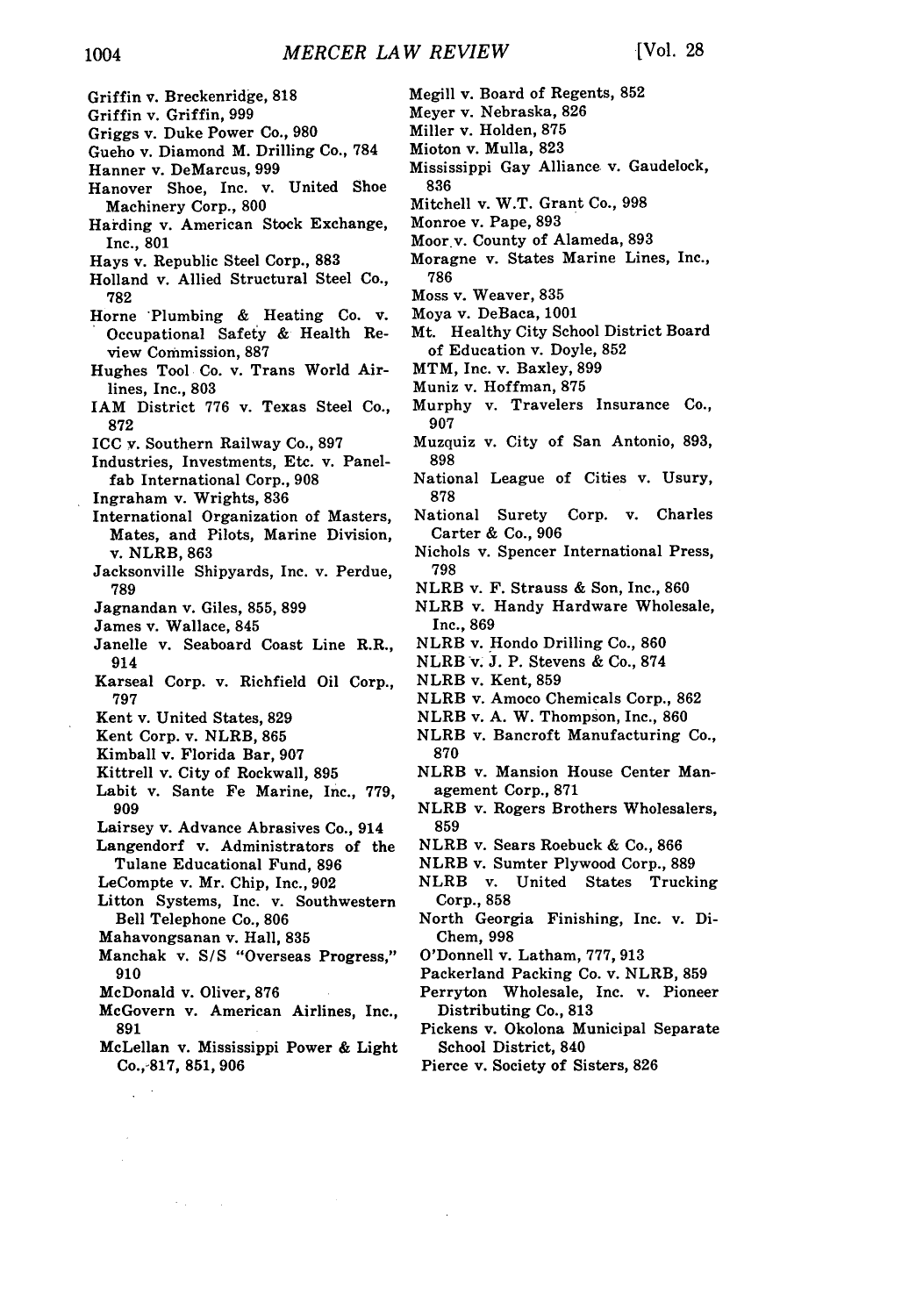**1004** *MERCER LAW REVIEW* [Vol. 28] Megill v. Board of Regents, 852 Griffin v. Breckenridge, **818** Meyer v. Nebraska, **826** Griffin v. Griffin, 999 Griggs v. Duke Power Co., **980** Miller v. Holden, **875** Gueho v. Diamond M. Drilling Co., **784** Mioton v. Mulla, **823** Mississippi Gay Alliance v. Gaudelock, Hanner v. DeMarcus, 999 **836** Hanover Shoe, Inc. v. United Shoe Mitchell v. W.T. Grant Co., 998 Machinery Corp., 800 Harding v. American Stock Exchange, Monroe v. Pape, **893** Moor.v. County of Alameda, **893** Inc., **801** Hays v. Republic Steel Corp., **883** Moragne v. States Marine Lines, Inc., Holland v. Allied Structural Steel Co., **786** Moss v. Weaver, 835 **782** Horne 'Plumbing & Heating Co. v. Moya v. DeBaca, 1001 Occupational Safety & Health Re-Mt. Healthy City School District Board of Education v. Doyle, 852 view Commission, **887** Hughes Tool Co. v. Trans World Air-MTM, Inc. v. Baxley, **899** Muniz v. Hoffman, **875** lines, Inc., **803** Murphy v. Travelers Insurance Co., IAM District 776 v. Texas Steel Co., **872 907** ICC v. Southern Railway Co., 897 Muzquiz v. City of San Antonio, 893, **898** Industries, Investments, Etc. v. Panelfab International Corp., **908** National League of Cities v. Usury, **878** Ingraham v. Wrights, **836** National Surety Corp. v. Charles International Organization of Masters, Carter & Co., 906 Mates, and Pilots, Marine Division, Nichols v. Spencer International Press, v. NLRB, **863** 798 Jacksonville Shipyards, Inc. v. Perdue, NLRB v. F. Strauss & Son, Inc., 860 **789** Jagnandan v. Giles, 855, **899** NLRB v. Handy Hardware Wholesale, James v. Wallace, 845 Inc., 869 NLRB v. Hondo Drilling Co., **860** Janelle v. Seaboard Coast Line R.R., NLRB v. **J.** P. Stevens & Co., **874** 914 NLRB v. Kent, 859 Karseal Corp. v. Richfield Oil Corp., **797** NLRB v. Amoco Chemicals Corp., 862 NLRB v. A. W. Thompson, Inc., **860** Kent v. United States, **829** Kent Corp. v. NLRB, **865** NLRB v. Bancroft Manufacturing Co., Kimball v. Florida Bar, **907 870** NLRB v. Mansion House Center Man-Kittrell v. City of Rockwall, **895** Labit v. Sante Fe Marine, Inc., 779, agement Corp., 871 909 NLRB v. Rogers Brothers Wholesalers, Lairsey v. Advance Abrasives Co., 914 **859** Langendorf v. Administrators of the NLRB v. Sears Roebuck & Co., **866** Tulane Educational Fund, **896** NLRB v. Sumter Plywood Corp., **889** LeCompte v. Mr. Chip, Inc., 902 NLRB v. United States Trucking Litton Systems, Inc. v. Southwestern Corp., **858** Bell Telephone Co., **806** North Georgia Finishing, Inc. v. Di-Chem, 998 Mahavongsanan v. Hall, **835** Manchak v. **S/S** "Overseas Progress," O'Donnell v. Latham, 777, 913 Packerland Packing Co. v. NLRB, **859 910** McDonald v. Oliver, **876** Perryton Wholesale, Inc. v. Pioneer Distributing Co., **813** McGovern v. American Airlines, Inc., Pickens v. Okolona Municipal Separate **891** McLellan v. Mississippi Power & Light School District, 840 Co.,-817, **851, 906** Pierce v. Society of Sisters, **826**  $\mathcal{L}^{(1)}$ 

 $\sim$   $\sim$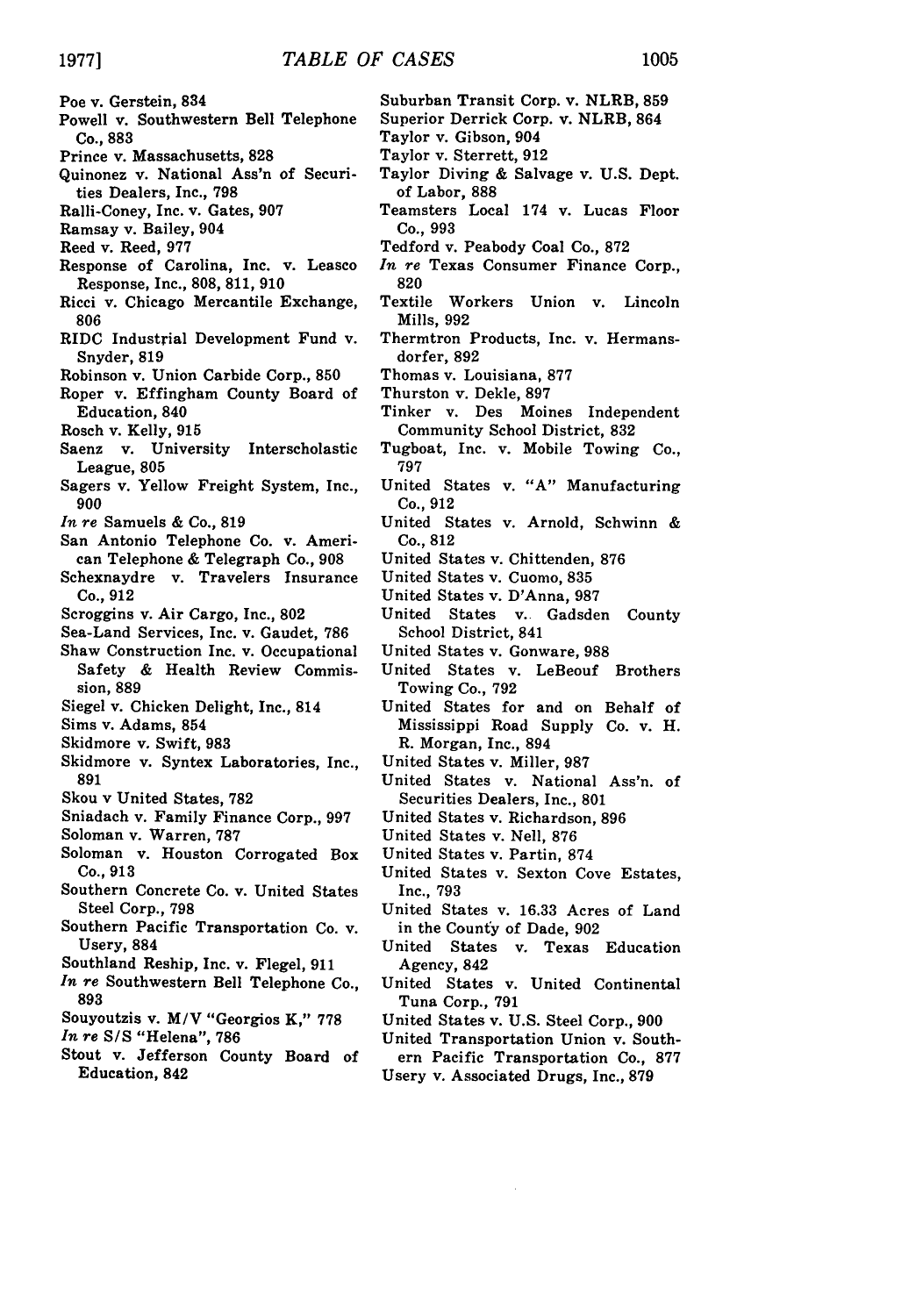- Poe v. Gerstein, **834**
- Powell v. Southwestern Bell Telephone Co., **883**
- Prince v. Massachusetts, **828**
- Quinonez v. National Ass'n of Securities Dealers, Inc., **798**
- Ralli-Coney, Inc. v. Gates, **907**
- Ramsay v. Bailey, 904
- Reed v. Reed, **977**
- Response of Carolina, Inc. v. Leasco Response, Inc., **808, 811, 910**
- Ricci v. Chicago Mercantile Exchange, **806**
- RIDC Industrial Development Fund v. Snyder, 819
- Robinson v. Union Carbide Corp., **850**
- Roper v. Effingham County Board of Education, 840
- Rosch v. Kelly, **915**
- Saenz v. University Interscholastic League, 805
- Sagers v. Yellow Freight System, Inc., **900**
- *In re* Samuels **&** Co., **819**
- San Antonio Telephone Co. v. American Telephone **&** Telegraph Co., **908**
- Schexnaydre v. Travelers Insurance Co., **912**
- Scroggins v. Air Cargo, Inc., **802**
- Sea-Land Services, Inc. v. Gaudet, **786**
- Shaw Construction Inc. v. Occupational Safety **&** Health Review Commission, **889**
- Siegel v. Chicken Delight, Inc., 814
- Sims v. Adams, 854
- Skidmore v. Swift, **983**
- Skidmore v. Syntex Laboratories, Inc., **891**
- Skou v United States, **782**
- Sniadach v. Family Finance Corp., **997**
- Soloman v. Warren, **787**
- Soloman v. Houston Corrogated Box Co., **913**
- Southern Concrete Co. v. United States Steel Corp., **798**
- Southern Pacific Transportation Co. v. Usery, 884
- Southland Reship, Inc. v. Flegel, **911**
- *In re* Southwestern Bell Telephone Co., **893**
- Souyoutzis v. *M/V* "Georgios K," **778**

*In re S/S* "Helena", **786**

Stout v. Jefferson County Board of Education, 842

- Suburban Transit Corp. v. NLRB, **859**
- Superior Derrick Corp. v. NLRB, 864
- Taylor v. Gibson, 904 Taylor v. Sterrett, **912**
- 
- Taylor Diving **&** Salvage v. **U.S.** Dept. of Labor, **888**
- Teamsters Local 174 v. Lucas Floor Co., **993**
- Tedford v. Peabody Coal Co., **872**
- *In re* Texas Consumer Finance Corp., **820**
- Textile Workers Union v. Lincoln Mills, 992
- Thermtron Products, Inc. v. Hermansdorfer, **892**
- Thomas v. Louisiana, **877**
- Thurston v. Dekle, **897**
- Tinker v. Des Moines Independent Community School District, **832**
- Tugboat, Inc. v. Mobile Towing Co., 797
- United States v. "A" Manufacturing Co., 912
- United States v. Arnold, Schwinn & Co., **812**
- United States v. Chittenden, **876**
- United States v. Cuomo, **835**
- United States v. D'Anna, **987**
- United States v. Gadsden County School District, 841
- United States v. Gonware, **988**
- United States v. LeBeouf Brothers Towing Co., 792
- United States for and on Behalf of Mississippi Road Supply Co. v. H. R. Morgan, Inc., 894
- United States v. Miller, 987
- United States v. National Ass'n. of Securities Dealers, Inc., **801**
- United States v. Richardson, **896**
- United States v. Nell, 876
- United States v. Partin, 874
- United States v. Sexton Cove Estates, Inc., **793**
- United States v. **16.33** Acres of Land in the County of Dade, **902**
- United States v. Texas Education Agency, 842
- United States v. United Continental Tuna Corp., **791**
- United States v. **U.S.** Steel Corp., **900**
- United Transportation Union v. Southern Pacific Transportation Co., **877**
- Usery v. Associated Drugs, Inc., **879**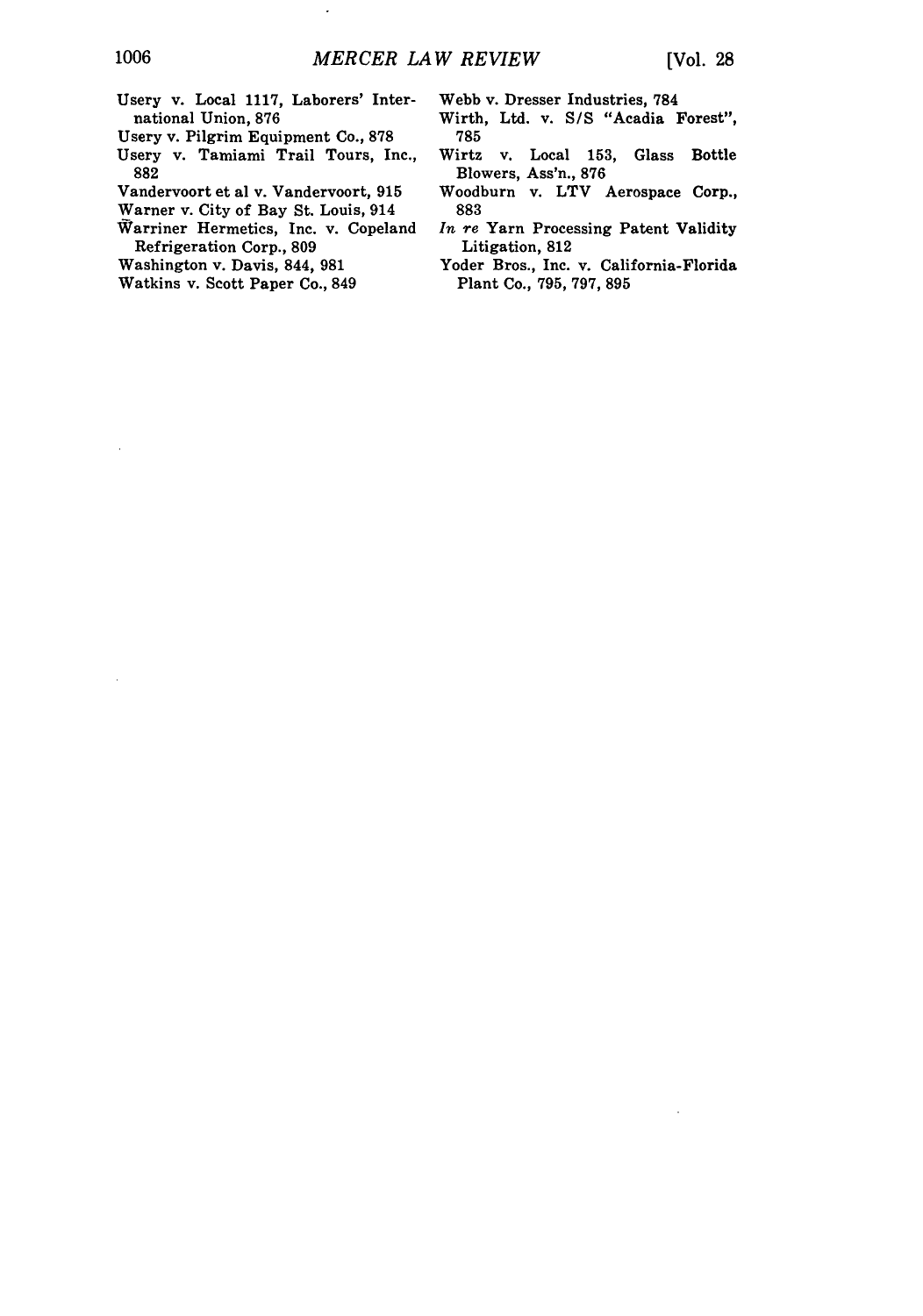Usery v. Local **1117,** Laborers' International Union, **876**

 $\ddot{\phantom{a}}$ 

Usery v. Pilgrim Equipment Co., **878**

- Usery v. Tamiami Trail Tours, Inc., **882**
- Vandervoort et al v. Vandervoort, 915
- Warner v. City of Bay St. Louis, 914
- Warriner Hermetics, Inc. v. Copeland Refrigeration Corp., **809**
- Washington v. Davis, 844, **981**
- Watkins v. Scott Paper Co., 849
- Webb v. Dresser Industries, 784
- Wirth, Ltd. v. **S/S** "Acadia Forest", **785**
- Wirtz v. Local 153, Glass Bottle Blowers, Ass'n., **876**
- Woodburn v. LTV Aerospace Corp., **883**
- *In re* Yarn Processing Patent Validity Litigation, **812**
- Yoder Bros., Inc. v. California-Florida Plant Co., 795, 797, **895**